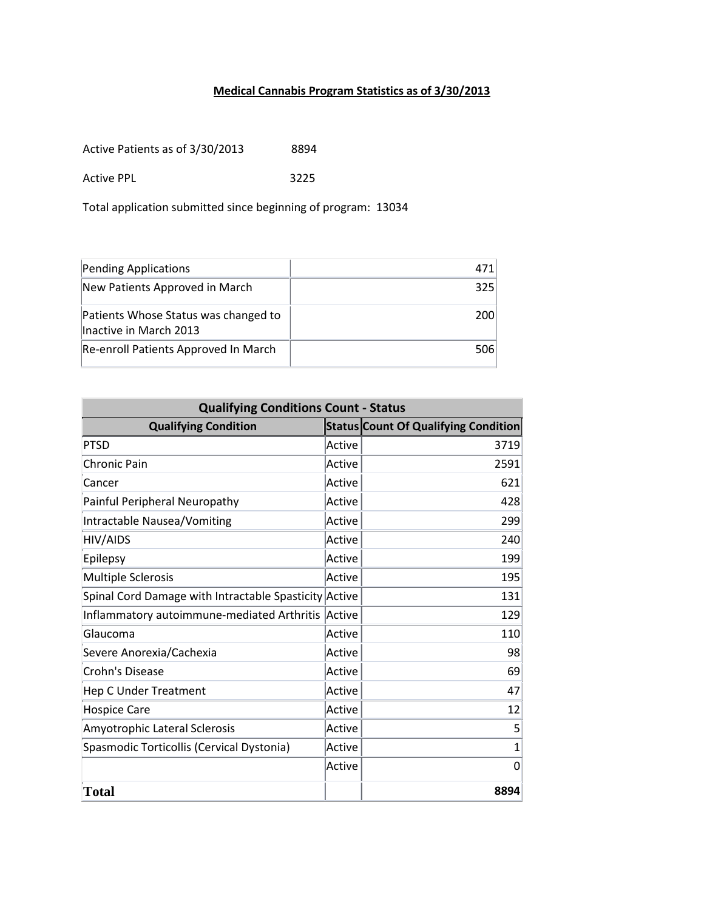## **Medical Cannabis Program Statistics as of 3/30/2013**

Active Patients as of 3/30/2013 8894

Active PPL 3225

Total application submitted since beginning of program: 13034

| Pending Applications                                           | 471 |
|----------------------------------------------------------------|-----|
| New Patients Approved in March                                 | 325 |
| Patients Whose Status was changed to<br>Inactive in March 2013 | 200 |
| Re-enroll Patients Approved In March                           | 506 |

| <b>Qualifying Conditions Count - Status</b>           |        |                                             |  |
|-------------------------------------------------------|--------|---------------------------------------------|--|
| <b>Qualifying Condition</b>                           |        | <b>Status Count Of Qualifying Condition</b> |  |
| <b>PTSD</b>                                           | Active | 3719                                        |  |
| <b>Chronic Pain</b>                                   | Active | 2591                                        |  |
| Cancer                                                | Active | 621                                         |  |
| Painful Peripheral Neuropathy                         | Active | 428                                         |  |
| Intractable Nausea/Vomiting                           | Active | 299                                         |  |
| HIV/AIDS                                              | Active | 240                                         |  |
| Epilepsy                                              | Active | 199                                         |  |
| <b>Multiple Sclerosis</b>                             | Active | 195                                         |  |
| Spinal Cord Damage with Intractable Spasticity Active |        | 131                                         |  |
| Inflammatory autoimmune-mediated Arthritis            | Active | 129                                         |  |
| Glaucoma                                              | Active | 110                                         |  |
| Severe Anorexia/Cachexia                              | Active | 98                                          |  |
| <b>Crohn's Disease</b>                                | Active | 69                                          |  |
| <b>Hep C Under Treatment</b>                          | Active | 47                                          |  |
| <b>Hospice Care</b>                                   | Active | 12                                          |  |
| Amyotrophic Lateral Sclerosis                         | Active | 5                                           |  |
| Spasmodic Torticollis (Cervical Dystonia)             | Active | $\overline{1}$                              |  |
|                                                       | Active | $\Omega$                                    |  |
| <b>Total</b>                                          |        | 8894                                        |  |